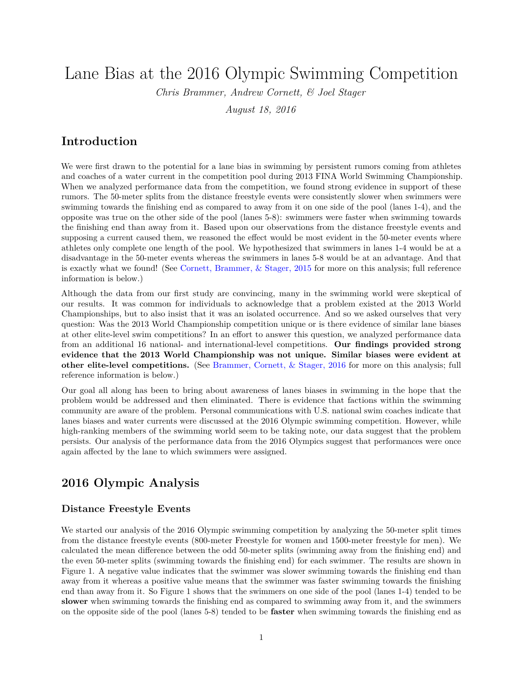# Lane Bias at the 2016 Olympic Swimming Competition

*Chris Brammer, Andrew Cornett, & Joel Stager*

*August 18, 2016*

### **Introduction**

We were first drawn to the potential for a lane bias in swimming by persistent rumors coming from athletes and coaches of a water current in the competition pool during 2013 FINA World Swimming Championship. When we analyzed performance data from the competition, we found strong evidence in support of these rumors. The 50-meter splits from the distance freestyle events were consistently slower when swimmers were swimming towards the finishing end as compared to away from it on one side of the pool (lanes 1-4), and the opposite was true on the other side of the pool (lanes 5-8): swimmers were faster when swimming towards the finishing end than away from it. Based upon our observations from the distance freestyle events and supposing a current caused them, we reasoned the effect would be most evident in the 50-meter events where athletes only complete one length of the pool. We hypothesized that swimmers in lanes 1-4 would be at a disadvantage in the 50-meter events whereas the swimmers in lanes 5-8 would be at an advantage. And that is exactly what we found! (See [Cornett, Brammer, & Stager, 2015](http://www.indiana.edu/~ccss/news/index.php) for more on this analysis; full reference information is below.)

Although the data from our first study are convincing, many in the swimming world were skeptical of our results. It was common for individuals to acknowledge that a problem existed at the 2013 World Championships, but to also insist that it was an isolated occurrence. And so we asked ourselves that very question: Was the 2013 World Championship competition unique or is there evidence of similar lane biases at other elite-level swim competitions? In an effort to answer this question, we analyzed performance data from an additional 16 national- and international-level competitions. **Our findings provided strong evidence that the 2013 World Championship was not unique. Similar biases were evident at other elite-level competitions.** (See [Brammer, Cornett, & Stager, 2016](http://www.indiana.edu/~ccss/news/index.php) for more on this analysis; full reference information is below.)

Our goal all along has been to bring about awareness of lanes biases in swimming in the hope that the problem would be addressed and then eliminated. There is evidence that factions within the swimming community are aware of the problem. Personal communications with U.S. national swim coaches indicate that lanes biases and water currents were discussed at the 2016 Olympic swimming competition. However, while high-ranking members of the swimming world seem to be taking note, our data suggest that the problem persists. Our analysis of the performance data from the 2016 Olympics suggest that performances were once again affected by the lane to which swimmers were assigned.

### **2016 Olympic Analysis**

#### **Distance Freestyle Events**

We started our analysis of the 2016 Olympic swimming competition by analyzing the 50-meter split times from the distance freestyle events (800-meter Freestyle for women and 1500-meter freestyle for men). We calculated the mean difference between the odd 50-meter splits (swimming away from the finishing end) and the even 50-meter splits (swimming towards the finishing end) for each swimmer. The results are shown in Figure 1. A negative value indicates that the swimmer was slower swimming towards the finishing end than away from it whereas a positive value means that the swimmer was faster swimming towards the finishing end than away from it. So Figure 1 shows that the swimmers on one side of the pool (lanes 1-4) tended to be **slower** when swimming towards the finishing end as compared to swimming away from it, and the swimmers on the opposite side of the pool (lanes 5-8) tended to be **faster** when swimming towards the finishing end as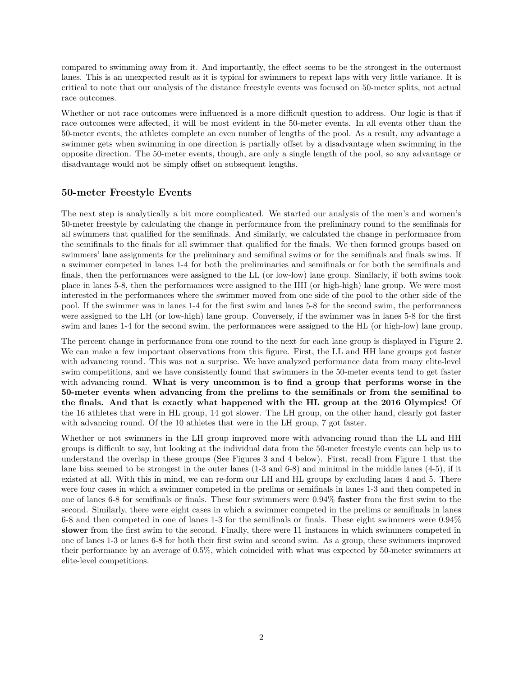compared to swimming away from it. And importantly, the effect seems to be the strongest in the outermost lanes. This is an unexpected result as it is typical for swimmers to repeat laps with very little variance. It is critical to note that our analysis of the distance freestyle events was focused on 50-meter splits, not actual race outcomes.

Whether or not race outcomes were influenced is a more difficult question to address. Our logic is that if race outcomes were affected, it will be most evident in the 50-meter events. In all events other than the 50-meter events, the athletes complete an even number of lengths of the pool. As a result, any advantage a swimmer gets when swimming in one direction is partially offset by a disadvantage when swimming in the opposite direction. The 50-meter events, though, are only a single length of the pool, so any advantage or disadvantage would not be simply offset on subsequent lengths.

#### **50-meter Freestyle Events**

The next step is analytically a bit more complicated. We started our analysis of the men's and women's 50-meter freestyle by calculating the change in performance from the preliminary round to the semifinals for all swimmers that qualified for the semifinals. And similarly, we calculated the change in performance from the semifinals to the finals for all swimmer that qualified for the finals. We then formed groups based on swimmers' lane assignments for the preliminary and semifinal swims or for the semifinals and finals swims. If a swimmer competed in lanes 1-4 for both the preliminaries and semifinals or for both the semifinals and finals, then the performances were assigned to the LL (or low-low) lane group. Similarly, if both swims took place in lanes 5-8, then the performances were assigned to the HH (or high-high) lane group. We were most interested in the performances where the swimmer moved from one side of the pool to the other side of the pool. If the swimmer was in lanes 1-4 for the first swim and lanes 5-8 for the second swim, the performances were assigned to the LH (or low-high) lane group. Conversely, if the swimmer was in lanes 5-8 for the first swim and lanes 1-4 for the second swim, the performances were assigned to the HL (or high-low) lane group.

The percent change in performance from one round to the next for each lane group is displayed in Figure 2. We can make a few important observations from this figure. First, the LL and HH lane groups got faster with advancing round. This was not a surprise. We have analyzed performance data from many elite-level swim competitions, and we have consistently found that swimmers in the 50-meter events tend to get faster with advancing round. **What is very uncommon is to find a group that performs worse in the 50-meter events when advancing from the prelims to the semifinals or from the semifinal to the finals. And that is exactly what happened with the HL group at the 2016 Olympics!** Of the 16 athletes that were in HL group, 14 got slower. The LH group, on the other hand, clearly got faster with advancing round. Of the 10 athletes that were in the LH group, 7 got faster.

Whether or not swimmers in the LH group improved more with advancing round than the LL and HH groups is difficult to say, but looking at the individual data from the 50-meter freestyle events can help us to understand the overlap in these groups (See Figures 3 and 4 below). First, recall from Figure 1 that the lane bias seemed to be strongest in the outer lanes (1-3 and 6-8) and minimal in the middle lanes (4-5), if it existed at all. With this in mind, we can re-form our LH and HL groups by excluding lanes 4 and 5. There were four cases in which a swimmer competed in the prelims or semifinals in lanes 1-3 and then competed in one of lanes 6-8 for semifinals or finals. These four swimmers were 0.94% **faster** from the first swim to the second. Similarly, there were eight cases in which a swimmer competed in the prelims or semifinals in lanes 6-8 and then competed in one of lanes 1-3 for the semifinals or finals. These eight swimmers were 0.94% **slower** from the first swim to the second. Finally, there were 11 instances in which swimmers competed in one of lanes 1-3 or lanes 6-8 for both their first swim and second swim. As a group, these swimmers improved their performance by an average of 0.5%, which coincided with what was expected by 50-meter swimmers at elite-level competitions.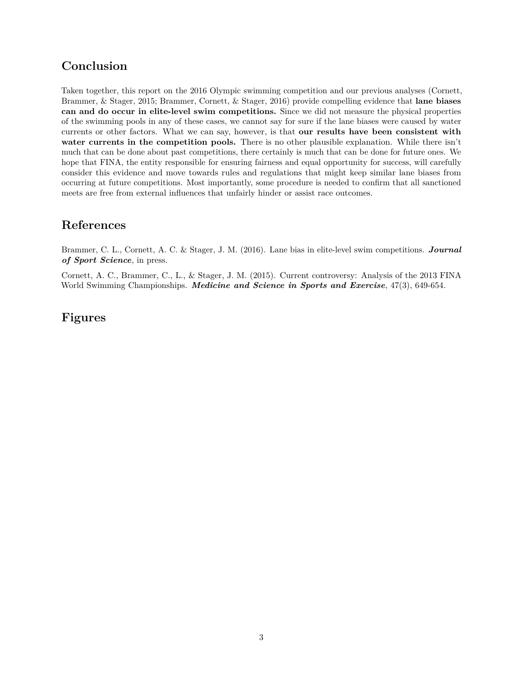### **Conclusion**

Taken together, this report on the 2016 Olympic swimming competition and our previous analyses (Cornett, Brammer, & Stager, 2015; Brammer, Cornett, & Stager, 2016) provide compelling evidence that **lane biases can and do occur in elite-level swim competitions.** Since we did not measure the physical properties of the swimming pools in any of these cases, we cannot say for sure if the lane biases were caused by water currents or other factors. What we can say, however, is that **our results have been consistent with water currents in the competition pools.** There is no other plausible explanation. While there isn't much that can be done about past competitions, there certainly is much that can be done for future ones. We hope that FINA, the entity responsible for ensuring fairness and equal opportunity for success, will carefully consider this evidence and move towards rules and regulations that might keep similar lane biases from occurring at future competitions. Most importantly, some procedure is needed to confirm that all sanctioned meets are free from external influences that unfairly hinder or assist race outcomes.

# **References**

Brammer, C. L., Cornett, A. C. & Stager, J. M. (2016). Lane bias in elite-level swim competitions. *Journal of Sport Science*, in press.

Cornett, A. C., Brammer, C., L., & Stager, J. M. (2015). Current controversy: Analysis of the 2013 FINA World Swimming Championships. *Medicine and Science in Sports and Exercise*, 47(3), 649-654.

# **Figures**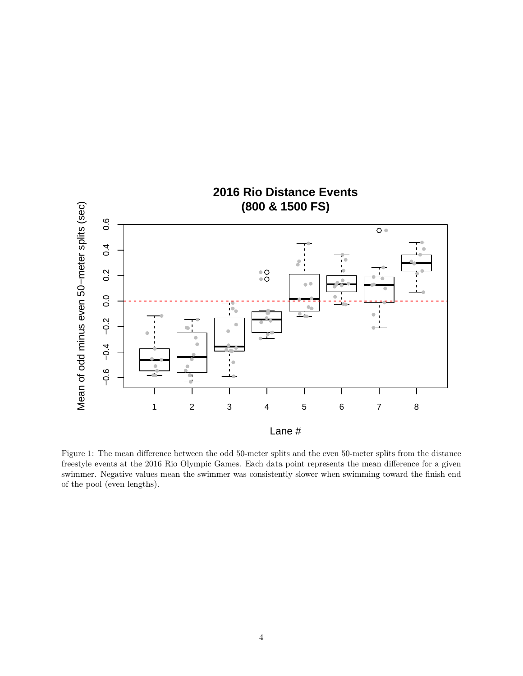

Figure 1: The mean difference between the odd 50-meter splits and the even 50-meter splits from the distance freestyle events at the 2016 Rio Olympic Games. Each data point represents the mean difference for a given swimmer. Negative values mean the swimmer was consistently slower when swimming toward the finish end of the pool (even lengths).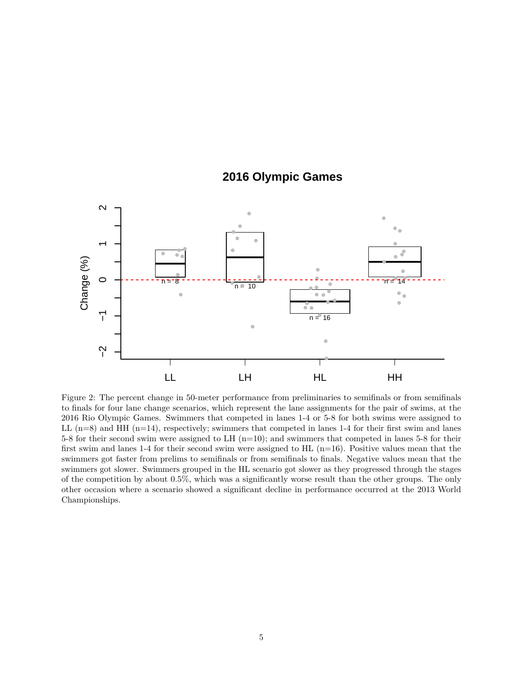## **2016 Olympic Games**



Figure 2: The percent change in 50-meter performance from preliminaries to semifinals or from semifinals to finals for four lane change scenarios, which represent the lane assignments for the pair of swims, at the 2016 Rio Olympic Games. Swimmers that competed in lanes 1-4 or 5-8 for both swims were assigned to LL  $(n=8)$  and HH  $(n=14)$ , respectively; swimmers that competed in lanes 1-4 for their first swim and lanes 5-8 for their second swim were assigned to LH (n=10); and swimmers that competed in lanes 5-8 for their first swim and lanes 1-4 for their second swim were assigned to HL  $(n=16)$ . Positive values mean that the swimmers got faster from prelims to semifinals or from semifinals to finals. Negative values mean that the swimmers got slower. Swimmers grouped in the HL scenario got slower as they progressed through the stages of the competition by about 0.5%, which was a significantly worse result than the other groups. The only other occasion where a scenario showed a significant decline in performance occurred at the 2013 World Championships.